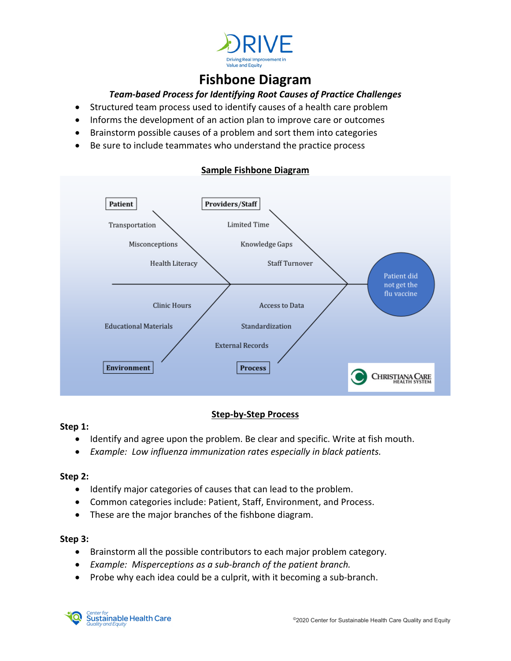

# **Fishbone Diagram**

## *Team-based Process for Identifying Root Causes of Practice Challenges*

- Structured team process used to identify causes of a health care problem
- Informs the development of an action plan to improve care or outcomes
- Brainstorm possible causes of a problem and sort them into categories
- Be sure to include teammates who understand the practice process



## **Sample Fishbone Diagram**

## **Step-by-Step Process**

#### **Step 1:**

- Identify and agree upon the problem. Be clear and specific. Write at fish mouth.
- *Example: Low influenza immunization rates especially in black patients.*

### **Step 2:**

- Identify major categories of causes that can lead to the problem.
- Common categories include: Patient, Staff, Environment, and Process.
- These are the major branches of the fishbone diagram.

### **Step 3:**

- Brainstorm all the possible contributors to each major problem category.
- *Example: Misperceptions as a sub-branch of the patient branch.*
- Probe why each idea could be a culprit, with it becoming a sub-branch.